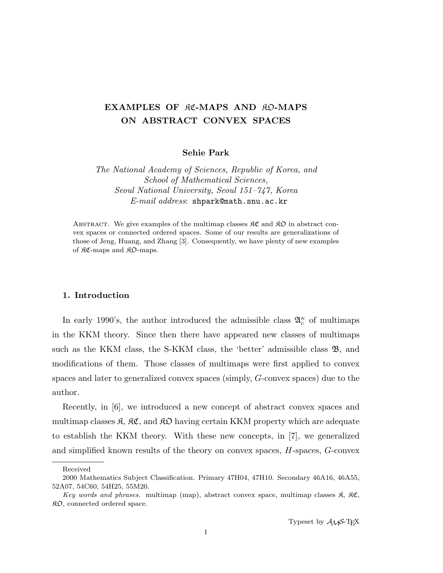# EXAMPLES OF RC-MAPS AND RO-MAPS ON ABSTRACT CONVEX SPACES

Sehie Park

The National Academy of Sciences, Republic of Korea, and School of Mathematical Sciences, Seoul National University, Seoul 151–747, Korea E-mail address: shpark@math.snu.ac.kr

ABSTRACT. We give examples of the multimap classes  $\mathcal{RC}$  and  $\mathcal{RD}$  in abstract convex spaces or connected ordered spaces. Some of our results are generalizations of those of Jeng, Huang, and Zhang [3]. Consequently, we have plenty of new examples of KC-maps and KO-maps.

### 1. Introduction

In early 1990's, the author introduced the admissible class  $\mathfrak{A}_{c}^{\kappa}$  of multimaps in the KKM theory. Since then there have appeared new classes of multimaps such as the KKM class, the S-KKM class, the 'better' admissible class  $\mathfrak{B}$ , and modifications of them. Those classes of multimaps were first applied to convex spaces and later to generalized convex spaces (simply, G-convex spaces) due to the author.

Recently, in [6], we introduced a new concept of abstract convex spaces and multimap classes  $\mathfrak{K}, \mathfrak{K}\mathfrak{C}$ , and  $\mathfrak{K}\mathfrak{D}$  having certain KKM property which are adequate to establish the KKM theory. With these new concepts, in [7], we generalized and simplified known results of the theory on convex spaces, H-spaces, G-convex

Received

<sup>2000</sup> Mathematics Subject Classification. Primary 47H04, 47H10. Secondary 46A16, 46A55, 52A07, 54C60, 54H25, 55M20.

Key words and phrases. multimap (map), abstract convex space, multimap classes  $\mathfrak{K}$ ,  $\mathfrak{K}\mathfrak{C}$ ,  $R<sub>D</sub>$ , connected ordered space.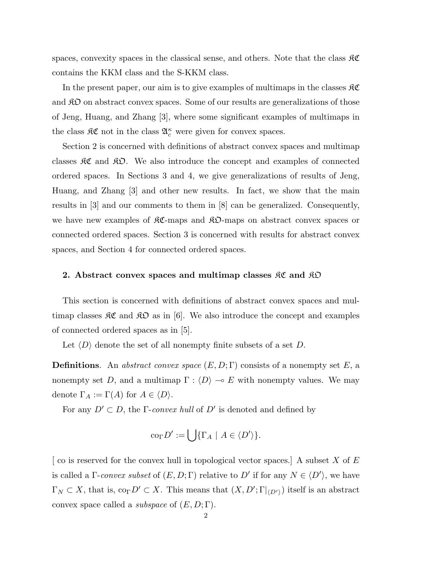spaces, convexity spaces in the classical sense, and others. Note that the class  $\Re\mathfrak{C}$ contains the KKM class and the S-KKM class.

In the present paper, our aim is to give examples of multimaps in the classes  $\Re\mathfrak{C}$ and  $\hat{R}D$  on abstract convex spaces. Some of our results are generalizations of those of Jeng, Huang, and Zhang [3], where some significant examples of multimaps in the class  $\mathfrak{K}\mathfrak{C}$  not in the class  $\mathfrak{A}^{\kappa}_{c}$  were given for convex spaces.

Section 2 is concerned with definitions of abstract convex spaces and multimap classes  $\mathcal{RC}$  and  $\mathcal{RD}$ . We also introduce the concept and examples of connected ordered spaces. In Sections 3 and 4, we give generalizations of results of Jeng, Huang, and Zhang [3] and other new results. In fact, we show that the main results in [3] and our comments to them in [8] can be generalized. Consequently, we have new examples of  $\mathcal{RC}$ -maps and  $\mathcal{RD}$ -maps on abstract convex spaces or connected ordered spaces. Section 3 is concerned with results for abstract convex spaces, and Section 4 for connected ordered spaces.

### 2. Abstract convex spaces and multimap classes  $\mathcal{RC}$  and  $\mathcal{RD}$

This section is concerned with definitions of abstract convex spaces and multimap classes  $\mathcal{RC}$  and  $\mathcal{RD}$  as in [6]. We also introduce the concept and examples of connected ordered spaces as in [5].

Let  $\langle D \rangle$  denote the set of all nonempty finite subsets of a set D.

**Definitions.** An abstract convex space  $(E, D; \Gamma)$  consists of a nonempty set E, a nonempty set D, and a multimap  $\Gamma : \langle D \rangle \to E$  with nonempty values. We may denote  $\Gamma_A := \Gamma(A)$  for  $A \in \langle D \rangle$ .

For any  $D' \subset D$ , the *Γ-convex hull* of  $D'$  is denoted and defined by

$$
\mathrm{co}_{\Gamma} D' := \bigcup \{ \Gamma_A \mid A \in \langle D' \rangle \}.
$$

 $\alpha$  co is reserved for the convex hull in topological vector spaces. A subset X of E is called a  $\Gamma$ -convex subset of  $(E, D; \Gamma)$  relative to D' if for any  $N \in \langle D' \rangle$ , we have  $\Gamma_N \subset X$ , that is,  $\text{co}_{\Gamma} D' \subset X$ . This means that  $(X, D'; \Gamma|_{\langle D' \rangle})$  itself is an abstract convex space called a *subspace* of  $(E, D; \Gamma)$ .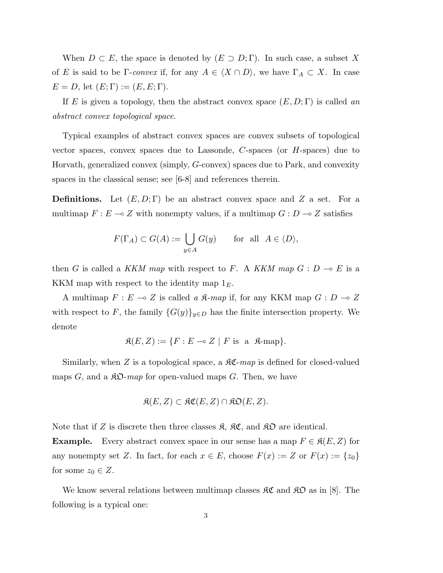When  $D \subset E$ , the space is denoted by  $(E \supset D; \Gamma)$ . In such case, a subset X of E is said to be Γ-convex if, for any  $A \in \langle X \cap D \rangle$ , we have  $\Gamma_A \subset X$ . In case  $E = D$ , let  $(E; \Gamma) := (E, E; \Gamma)$ .

If E is given a topology, then the abstract convex space  $(E, D; \Gamma)$  is called an abstract convex topological space.

Typical examples of abstract convex spaces are convex subsets of topological vector spaces, convex spaces due to Lassonde,  $C$ -spaces (or  $H$ -spaces) due to Horvath, generalized convex (simply, G-convex) spaces due to Park, and convexity spaces in the classical sense; see [6-8] and references therein.

**Definitions.** Let  $(E, D; \Gamma)$  be an abstract convex space and Z a set. For a multimap  $F : E \multimap Z$  with nonempty values, if a multimap  $G : D \multimap Z$  satisfies

$$
F(\Gamma_A) \subset G(A) := \bigcup_{y \in A} G(y) \quad \text{for all } A \in \langle D \rangle,
$$

then G is called a KKM map with respect to F. A KKM map  $G : D \multimap E$  is a KKM map with respect to the identity map  $1<sub>E</sub>$ .

A multimap  $F : E \multimap Z$  is called a  $\mathfrak{K}\text{-}map$  if, for any KKM map  $G : D \multimap Z$ with respect to F, the family  $\{G(y)\}_{y\in D}$  has the finite intersection property. We denote

$$
\mathfrak{K}(E, Z) := \{ F : E \multimap Z \mid F \text{ is a } \mathfrak{K}\text{-map} \}.
$$

Similarly, when Z is a topological space, a  $\mathcal{RC}$ -map is defined for closed-valued maps  $G$ , and a  $\mathcal{R}\mathcal{D}$ -map for open-valued maps  $G$ . Then, we have

$$
\mathfrak{K}(E, Z) \subset \mathfrak{KC}(E, Z) \cap \mathfrak{KD}(E, Z).
$$

Note that if Z is discrete then three classes  $\mathfrak{K}$ ,  $\mathfrak{K}\mathfrak{C}$ , and  $\mathfrak{K}\mathfrak{D}$  are identical.

**Example.** Every abstract convex space in our sense has a map  $F \in \mathcal{R}(E, Z)$  for any nonempty set Z. In fact, for each  $x \in E$ , choose  $F(x) := Z$  or  $F(x) := \{z_0\}$ for some  $z_0 \in Z$ .

We know several relations between multimap classes  $\mathcal{RC}$  and  $\mathcal{RD}$  as in [8]. The following is a typical one: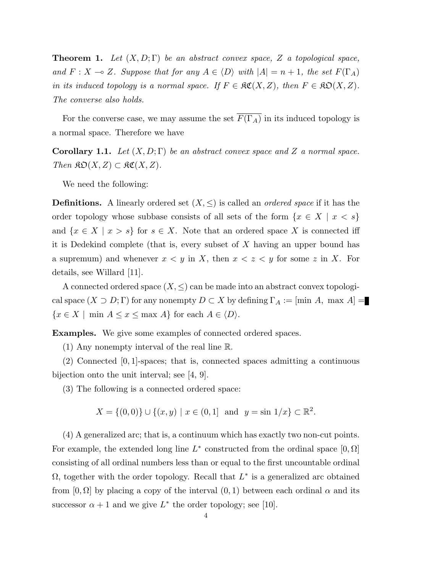**Theorem 1.** Let  $(X, D; \Gamma)$  be an abstract convex space, Z a topological space, and  $F: X \to Z$ . Suppose that for any  $A \in \langle D \rangle$  with  $|A| = n + 1$ , the set  $F(\Gamma_A)$ in its induced topology is a normal space. If  $F \in \mathcal{RC}(X, Z)$ , then  $F \in \mathcal{RD}(X, Z)$ . The converse also holds.

For the converse case, we may assume the set  $\overline{F(\Gamma_A)}$  in its induced topology is a normal space. Therefore we have

**Corollary 1.1.** Let  $(X, D; \Gamma)$  be an abstract convex space and Z a normal space. Then  $\mathfrak{SO}(X,Z) \subset \mathfrak{RC}(X,Z)$ .

We need the following:

**Definitions.** A linearly ordered set  $(X, \leq)$  is called an *ordered space* if it has the order topology whose subbase consists of all sets of the form  $\{x \in X \mid x < s\}$ and  $\{x \in X \mid x > s\}$  for  $s \in X$ . Note that an ordered space X is connected iff it is Dedekind complete (that is, every subset of X having an upper bound has a supremum) and whenever  $x < y$  in X, then  $x < z < y$  for some z in X. For details, see Willard [11].

A connected ordered space  $(X, \leq)$  can be made into an abstract convex topological space  $(X \supset D; \Gamma)$  for any nonempty  $D \subset X$  by defining  $\Gamma_A := [\min A, \max A] =$  $\{x \in X \mid \min A \le x \le \max A\}$  for each  $A \in \langle D \rangle$ .

Examples. We give some examples of connected ordered spaces.

(1) Any nonempty interval of the real line R.

(2) Connected [0, 1]-spaces; that is, connected spaces admitting a continuous bijection onto the unit interval; see [4, 9].

(3) The following is a connected ordered space:

$$
X = \{(0,0)\} \cup \{(x,y) \mid x \in (0,1] \text{ and } y = \sin 1/x\} \subset \mathbb{R}^2.
$$

(4) A generalized arc; that is, a continuum which has exactly two non-cut points. For example, the extended long line  $L^*$  constructed from the ordinal space  $[0, \Omega]$ consisting of all ordinal numbers less than or equal to the first uncountable ordinal  $\Omega$ , together with the order topology. Recall that  $L^*$  is a generalized arc obtained from  $[0, \Omega]$  by placing a copy of the interval  $(0, 1)$  between each ordinal  $\alpha$  and its successor  $\alpha + 1$  and we give  $L^*$  the order topology; see [10].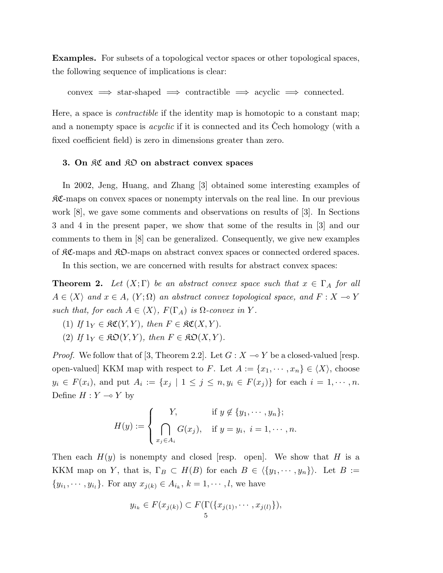Examples. For subsets of a topological vector spaces or other topological spaces, the following sequence of implications is clear:

convex  $\implies$  star-shaped  $\implies$  contractible  $\implies$  acyclic  $\implies$  connected.

Here, a space is contractible if the identity map is homotopic to a constant map; and a nonempty space is *acyclic* if it is connected and its Cech homology (with a fixed coefficient field) is zero in dimensions greater than zero.

## 3. On RC and RO on abstract convex spaces

In 2002, Jeng, Huang, and Zhang [3] obtained some interesting examples of KC-maps on convex spaces or nonempty intervals on the real line. In our previous work [8], we gave some comments and observations on results of [3]. In Sections 3 and 4 in the present paper, we show that some of the results in [3] and our comments to them in [8] can be generalized. Consequently, we give new examples of KC-maps and KO-maps on abstract convex spaces or connected ordered spaces.

In this section, we are concerned with results for abstract convex spaces:

**Theorem 2.** Let  $(X;\Gamma)$  be an abstract convex space such that  $x \in \Gamma_A$  for all  $A \in \langle X \rangle$  and  $x \in A$ ,  $(Y; \Omega)$  an abstract convex topological space, and  $F : X \to Y$ such that, for each  $A \in \langle X \rangle$ ,  $F(\Gamma_A)$  is  $\Omega$ -convex in Y.

- (1) If  $1_Y \in \mathfrak{RC}(Y, Y)$ , then  $F \in \mathfrak{RC}(X, Y)$ .
- (2) If  $1_Y \in \mathfrak{KD}(Y,Y)$ , then  $F \in \mathfrak{KD}(X,Y)$ .

*Proof.* We follow that of [3, Theorem 2.2]. Let  $G : X \to Y$  be a closed-valued [resp. open-valued] KKM map with respect to F. Let  $A := \{x_1, \dots, x_n\} \in \langle X \rangle$ , choose  $y_i \in F(x_i)$ , and put  $A_i := \{x_j \mid 1 \leq j \leq n, y_i \in F(x_j)\}\$  for each  $i = 1, \dots, n$ . Define  $H : Y \multimap Y$  by

$$
H(y) := \begin{cases} Y, & \text{if } y \notin \{y_1, \dots, y_n\}; \\ \bigcap_{x_j \in A_i} G(x_j), & \text{if } y = y_i, \ i = 1, \dots, n. \end{cases}
$$

Then each  $H(y)$  is nonempty and closed [resp. open]. We show that H is a KKM map on Y, that is,  $\Gamma_B \subset H(B)$  for each  $B \in \langle \{y_1, \dots, y_n\} \rangle$ . Let  $B :=$  ${y_{i_1}, \dots, y_{i_l}}$ . For any  $x_{j(k)} \in A_{i_k}, k = 1, \dots, l$ , we have

$$
y_{i_k} \in F(x_{j(k)}) \subset F(\Gamma(\{x_{j(1)}, \cdots, x_{j(l)}\}),
$$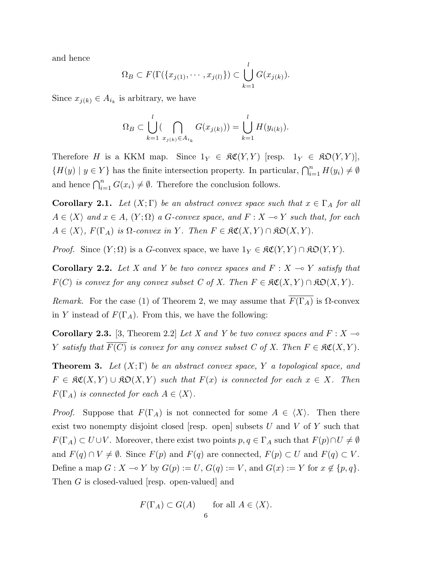and hence

$$
\Omega_B \subset F(\Gamma(\{x_{j(1)},\cdots,x_{j(l)}\}) \subset \bigcup_{k=1}^l G(x_{j(k)}).
$$

Since  $x_{j(k)} \in A_{i_k}$  is arbitrary, we have

$$
\Omega_B \subset \bigcup_{k=1}^l \left( \bigcap_{x_{j(k)} \in A_{i_k}} G(x_{j(k)}) \right) = \bigcup_{k=1}^l H(y_{i(k)}).
$$

Therefore H is a KKM map. Since  $1_Y \in \mathfrak{RC}(Y, Y)$  [resp.  $1_Y \in \mathfrak{RO}(Y, Y)$ ],  ${H(y) | y \in Y}$  has the finite intersection property. In particular,  $\bigcap_{i=1}^{n} H(y_i) \neq \emptyset$ and hence  $\bigcap_{i=1}^n G(x_i) \neq \emptyset$ . Therefore the conclusion follows.

**Corollary 2.1.** Let  $(X; \Gamma)$  be an abstract convex space such that  $x \in \Gamma_A$  for all  $A \in \langle X \rangle$  and  $x \in A$ ,  $(Y; \Omega)$  a G-convex space, and  $F : X \to Y$  such that, for each  $A \in \langle X \rangle$ ,  $F(\Gamma_A)$  is  $\Omega$ -convex in Y. Then  $F \in \mathfrak{RC}(X, Y) \cap \mathfrak{KD}(X, Y)$ .

*Proof.* Since  $(Y; \Omega)$  is a G-convex space, we have  $1_Y \in \mathfrak{RC}(Y, Y) \cap \mathfrak{RO}(Y, Y)$ .

**Corollary 2.2.** Let X and Y be two convex spaces and  $F : X \rightarrow Y$  satisfy that  $F(C)$  is convex for any convex subset C of X. Then  $F \in \mathcal{RC}(X,Y) \cap \mathcal{RD}(X,Y)$ .

Remark. For the case (1) of Theorem 2, we may assume that  $\overline{F(\Gamma_A)}$  is  $\Omega$ -convex in Y instead of  $F(\Gamma_A)$ . From this, we have the following:

**Corollary 2.3.** [3, Theorem 2.2] Let X and Y be two convex spaces and  $F : X \rightarrow$ Y satisfy that  $F(C)$  is convex for any convex subset C of X. Then  $F \in \mathfrak{RC}(X,Y)$ .

**Theorem 3.** Let  $(X;\Gamma)$  be an abstract convex space, Y a topological space, and  $F \in \mathfrak{RC}(X,Y) \cup \mathfrak{RO}(X,Y)$  such that  $F(x)$  is connected for each  $x \in X$ . Then  $F(\Gamma_A)$  is connected for each  $A \in \langle X \rangle$ .

*Proof.* Suppose that  $F(\Gamma_A)$  is not connected for some  $A \in \langle X \rangle$ . Then there exist two nonempty disjoint closed [resp. open] subsets  $U$  and  $V$  of  $Y$  such that  $F(\Gamma_A) \subset U \cup V$ . Moreover, there exist two points  $p, q \in \Gamma_A$  such that  $F(p) \cap U \neq \emptyset$ and  $F(q) \cap V \neq \emptyset$ . Since  $F(p)$  and  $F(q)$  are connected,  $F(p) \subset U$  and  $F(q) \subset V$ . Define a map  $G : X \to Y$  by  $G(p) := U$ ,  $G(q) := V$ , and  $G(x) := Y$  for  $x \notin \{p, q\}.$ Then G is closed-valued [resp. open-valued] and

$$
F(\Gamma_A) \subset G(A) \quad \text{for all } A \in \langle X \rangle.
$$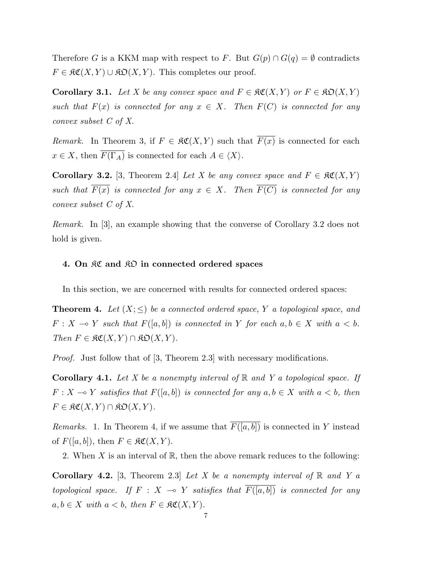Therefore G is a KKM map with respect to F. But  $G(p) \cap G(q) = \emptyset$  contradicts  $F \in \mathfrak{RC}(X,Y) \cup \mathfrak{RO}(X,Y)$ . This completes our proof.

**Corollary 3.1.** Let X be any convex space and  $F \in \mathfrak{RC}(X,Y)$  or  $F \in \mathfrak{RO}(X,Y)$ such that  $F(x)$  is connected for any  $x \in X$ . Then  $F(C)$  is connected for any convex subset C of X.

Remark. In Theorem 3, if  $F \in \mathfrak{RC}(X,Y)$  such that  $\overline{F(x)}$  is connected for each  $x \in X$ , then  $\overline{F(\Gamma_A)}$  is connected for each  $A \in \langle X \rangle$ .

**Corollary 3.2.** [3, Theorem 2.4] Let X be any convex space and  $F \in \mathcal{RC}(X, Y)$ such that  $\overline{F(x)}$  is connected for any  $x \in X$ . Then  $\overline{F(C)}$  is connected for any convex subset C of X.

Remark. In [3], an example showing that the converse of Corollary 3.2 does not hold is given.

## 4. On RC and RO in connected ordered spaces

In this section, we are concerned with results for connected ordered spaces:

**Theorem 4.** Let  $(X; \leq)$  be a connected ordered space, Y a topological space, and  $F: X \longrightarrow Y$  such that  $F([a, b])$  is connected in Y for each  $a, b \in X$  with  $a < b$ . Then  $F \in \mathfrak{RC}(X,Y) \cap \mathfrak{KD}(X,Y)$ .

Proof. Just follow that of [3, Theorem 2.3] with necessary modifications.

**Corollary 4.1.** Let X be a nonempty interval of  $\mathbb{R}$  and Y a topological space. If  $F: X \to Y$  satisfies that  $F([a, b])$  is connected for any  $a, b \in X$  with  $a < b$ , then  $F \in \mathfrak{RC}(X,Y) \cap \mathfrak{KO}(X,Y).$ 

*Remarks.* 1. In Theorem 4, if we assume that  $\overline{F([a, b])}$  is connected in Y instead of  $F([a, b]),$  then  $F \in \mathfrak{RC}(X, Y)$ .

2. When  $X$  is an interval of  $\mathbb R$ , then the above remark reduces to the following:

**Corollary 4.2.** [3, Theorem 2.3] Let X be a nonempty interval of  $\mathbb{R}$  and Y a topological space. If  $F : X \to Y$  satisfies that  $\overline{F([a, b])}$  is connected for any  $a, b \in X$  with  $a < b$ , then  $F \in \mathfrak{RC}(X, Y)$ .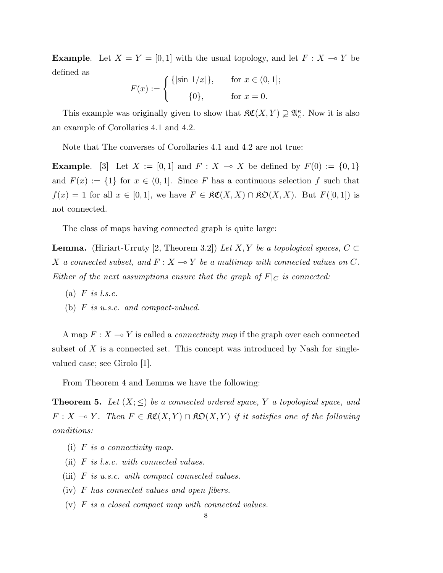**Example.** Let  $X = Y = [0, 1]$  with the usual topology, and let  $F : X \to Y$  be defined as

$$
F(x) := \begin{cases} \{|\sin 1/x|\}, & \text{for } x \in (0,1]; \\ 0, & \text{for } x = 0. \end{cases}
$$

This example was originally given to show that  $\mathfrak{RC}(X,Y) \supsetneq \mathfrak{A}_{c}^{\kappa}$ . Now it is also an example of Corollaries 4.1 and 4.2.

Note that The converses of Corollaries 4.1 and 4.2 are not true:

**Example.** [3] Let  $X := [0, 1]$  and  $F : X \to X$  be defined by  $F(0) := \{0, 1\}$ and  $F(x) := \{1\}$  for  $x \in (0,1]$ . Since F has a continuous selection f such that  $f(x) = 1$  for all  $x \in [0,1]$ , we have  $F \in \mathfrak{RC}(X,X) \cap \mathfrak{RO}(X,X)$ . But  $\overline{F([0,1])}$  is not connected.

The class of maps having connected graph is quite large:

**Lemma.** (Hiriart-Urruty [2, Theorem 3.2]) Let X, Y be a topological spaces,  $C \subset$ X a connected subset, and  $F : X \to Y$  be a multimap with connected values on C. Either of the next assumptions ensure that the graph of  $F|_C$  is connected:

- (a)  $F$  is l.s.c.
- (b) F is u.s.c. and compact-valued.

A map  $F: X \longrightarrow Y$  is called a *connectivity map* if the graph over each connected subset of  $X$  is a connected set. This concept was introduced by Nash for singlevalued case; see Girolo [1].

From Theorem 4 and Lemma we have the following:

**Theorem 5.** Let  $(X; \leq)$  be a connected ordered space, Y a topological space, and  $F: X \to Y$ . Then  $F \in \mathfrak{RC}(X, Y) \cap \mathfrak{RO}(X, Y)$  if it satisfies one of the following conditions:

- (i)  $F$  is a connectivity map.
- (ii)  $F$  is l.s.c. with connected values.
- (iii) F is u.s.c. with compact connected values.
- (iv) F has connected values and open fibers.
- (v) F is a closed compact map with connected values.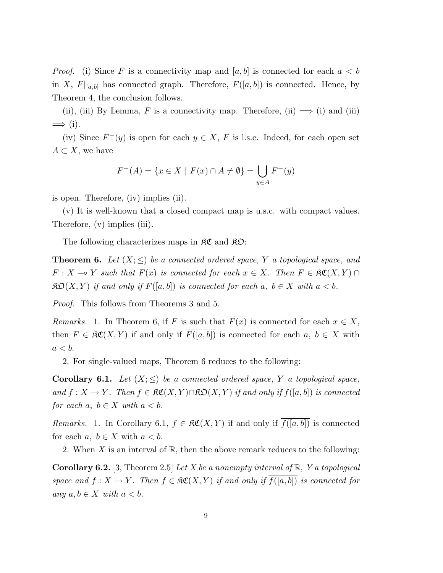*Proof.* (i) Since F is a connectivity map and  $[a, b]$  is connected for each  $a < b$ in X,  $F|_{[a,b]}$  has connected graph. Therefore,  $F([a, b])$  is connected. Hence, by Theorem 4, the conclusion follows.

(ii), (iii) By Lemma, F is a connectivity map. Therefore, (ii)  $\implies$  (i) and (iii)  $\implies$  (i).

(iv) Since  $F^-(y)$  is open for each  $y \in X$ , F is l.s.c. Indeed, for each open set  $A \subset X$ , we have

$$
F^{-}(A) = \{ x \in X \mid F(x) \cap A \neq \emptyset \} = \bigcup_{y \in A} F^{-}(y)
$$

is open. Therefore, (iv) implies (ii).

(v) It is well-known that a closed compact map is u.s.c. with compact values. Therefore, (v) implies (iii).

The following characterizes maps in  $\mathcal{RC}$  and  $\mathcal{RD}$ :

**Theorem 6.** Let  $(X; \leq)$  be a connected ordered space, Y a topological space, and  $F: X \to Y$  such that  $F(x)$  is connected for each  $x \in X$ . Then  $F \in \mathfrak{RC}(X, Y) \cap Y$  $\mathfrak{KO}(X,Y)$  if and only if  $F([a,b])$  is connected for each  $a, b \in X$  with  $a < b$ .

Proof. This follows from Theorems 3 and 5.

Remarks. 1. In Theorem 6, if F is such that  $\overline{F(x)}$  is connected for each  $x \in X$ , then  $F \in \mathfrak{RC}(X,Y)$  if and only if  $\overline{F([a,b])}$  is connected for each  $a, b \in X$  with  $a < b$ .

2. For single-valued maps, Theorem 6 reduces to the following:

**Corollary 6.1.** Let  $(X; \leq)$  be a connected ordered space, Y a topological space, and  $f: X \to Y$ . Then  $f \in \mathfrak{RC}(X, Y) \cap \mathfrak{RO}(X, Y)$  if and only if  $f([a, b])$  is connected for each  $a, b \in X$  with  $a < b$ .

Remarks. 1. In Corollary 6.1,  $f \in \mathfrak{RC}(X,Y)$  if and only if  $\overline{f([a,b])}$  is connected for each  $a, b \in X$  with  $a < b$ .

2. When X is an interval of  $\mathbb{R}$ , then the above remark reduces to the following:

**Corollary 6.2.** [3, Theorem 2.5] Let X be a nonempty interval of  $\mathbb{R}$ , Y a topological space and  $f: X \to Y$ . Then  $f \in \mathfrak{RC}(X, Y)$  if and only if  $\overline{f([a, b])}$  is connected for any  $a, b \in X$  with  $a < b$ .